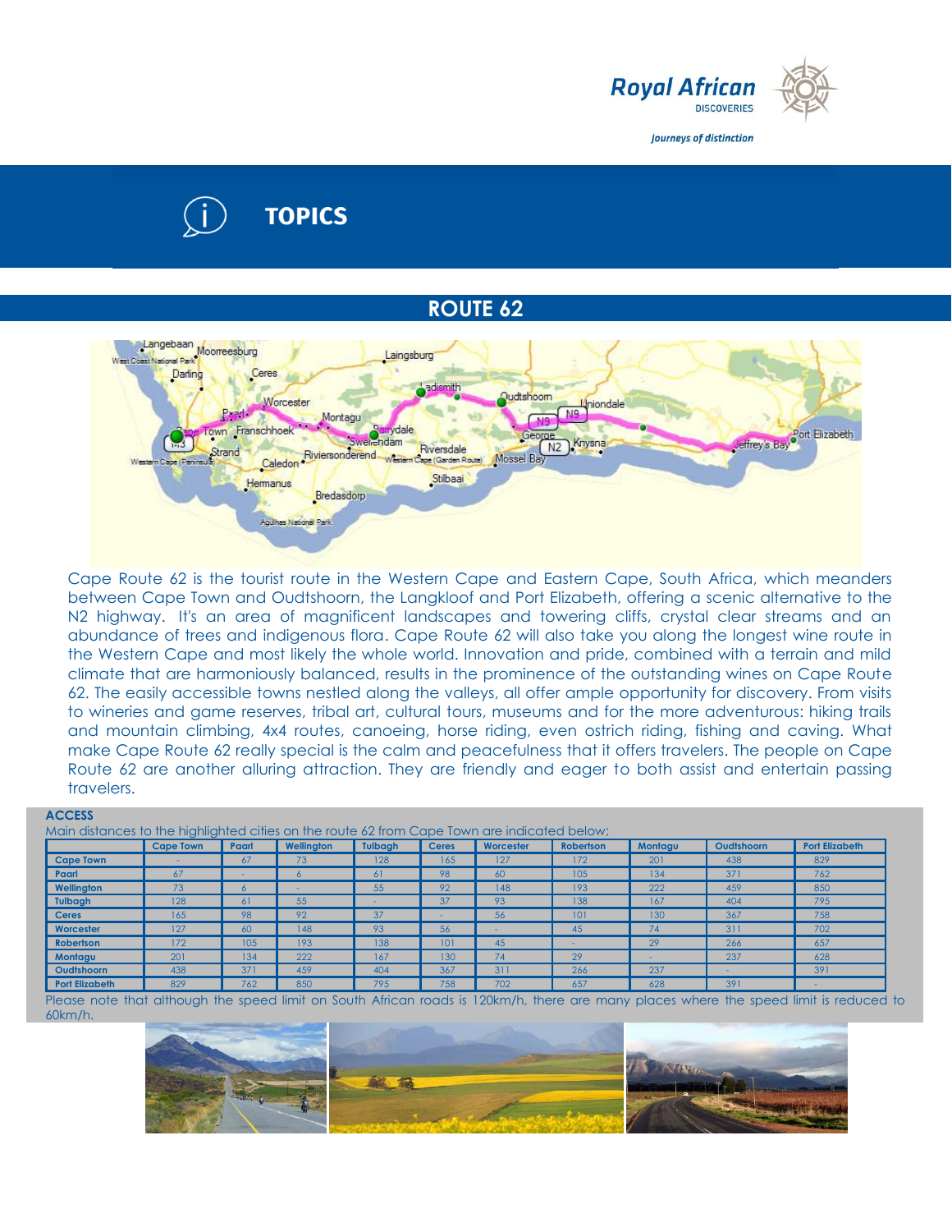

Journeys of distinction

# **TOPICS**

# **ROUTE 62**



Cape Route 62 is the tourist route in the Western Cape and Eastern Cape, South Africa, which meanders between Cape Town and Oudtshoorn, the Langkloof and Port Elizabeth, offering a scenic alternative to the N2 highway. It's an area of magnificent landscapes and towering cliffs, crystal clear streams and an abundance of trees and indigenous flora. Cape Route 62 will also take you along the longest wine route in the Western Cape and most likely the whole world. Innovation and pride, combined with a terrain and mild climate that are harmoniously balanced, results in the prominence of the outstanding wines on Cape Route 62. The easily accessible towns nestled along the valleys, all offer ample opportunity for discovery. From visits to wineries and game reserves, tribal art, cultural tours, museums and for the more adventurous: hiking trails and mountain climbing, 4x4 routes, canoeing, horse riding, even ostrich riding, fishing and caving. What make Cape Route 62 really special is the calm and peacefulness that it offers travelers. The people on Cape Route 62 are another alluring attraction. They are friendly and eager to both assist and entertain passing travelers.

|                       | <b>Cape Town</b> | Paarl | Wellinaton | <b>Tulbaah</b> | <b>Ceres</b> | Worcester | <b>Robertson</b>  | Montagu | Oudtshoorn | <b>Port Elizabeth</b> |
|-----------------------|------------------|-------|------------|----------------|--------------|-----------|-------------------|---------|------------|-----------------------|
| <b>Cape Town</b>      | ۰                | 67    | 73         | 128            | 165          | 127       | 172               | 201     | 438        | 829                   |
| <b>Paarl</b>          | 67               |       | 6          | 61             | 98           | 60        | 105               | 134     | 371        | 762                   |
| Wellington            | 73               |       | . .        | 55'            | 92           | 148       | 193               | 222     | 459        | 850                   |
| <b>Tulbagh</b>        | 128              | 61    | 55         |                | 37           | 93        | 138               | 167     | 404        | 795                   |
| <b>Ceres</b>          | 165              | 98    | 92         | 37             |              | 56        | 101               | 130     | 367        | 758                   |
| Worcester             | 127              | 60    | 148        | 93             | 56           |           | 45                | 74      | 311        | 702                   |
| <b>Robertson</b>      | 172              | 105   | 193        | 138            | 101          | 45        | <b>CONTRACTOR</b> | 29      | 266        | 657                   |
| Montagu               | 201              | 134   | 222        | 167            | 130          | 74        | 29                |         | 237        | 628                   |
| Oudtshoorn            | 438              | 371   | 459        | 404            | 367          | 311       | 266               | 237     | -          | 391                   |
| <b>Port Elizabeth</b> | 829              | 762   | 850        | 795            | 758          | 702       | 657               | 628     | 391        | $\sim$                |

Please note that although the speed limit on South African roads is 120km/h, there are many places where the speed limit is reduced to 60km/h.

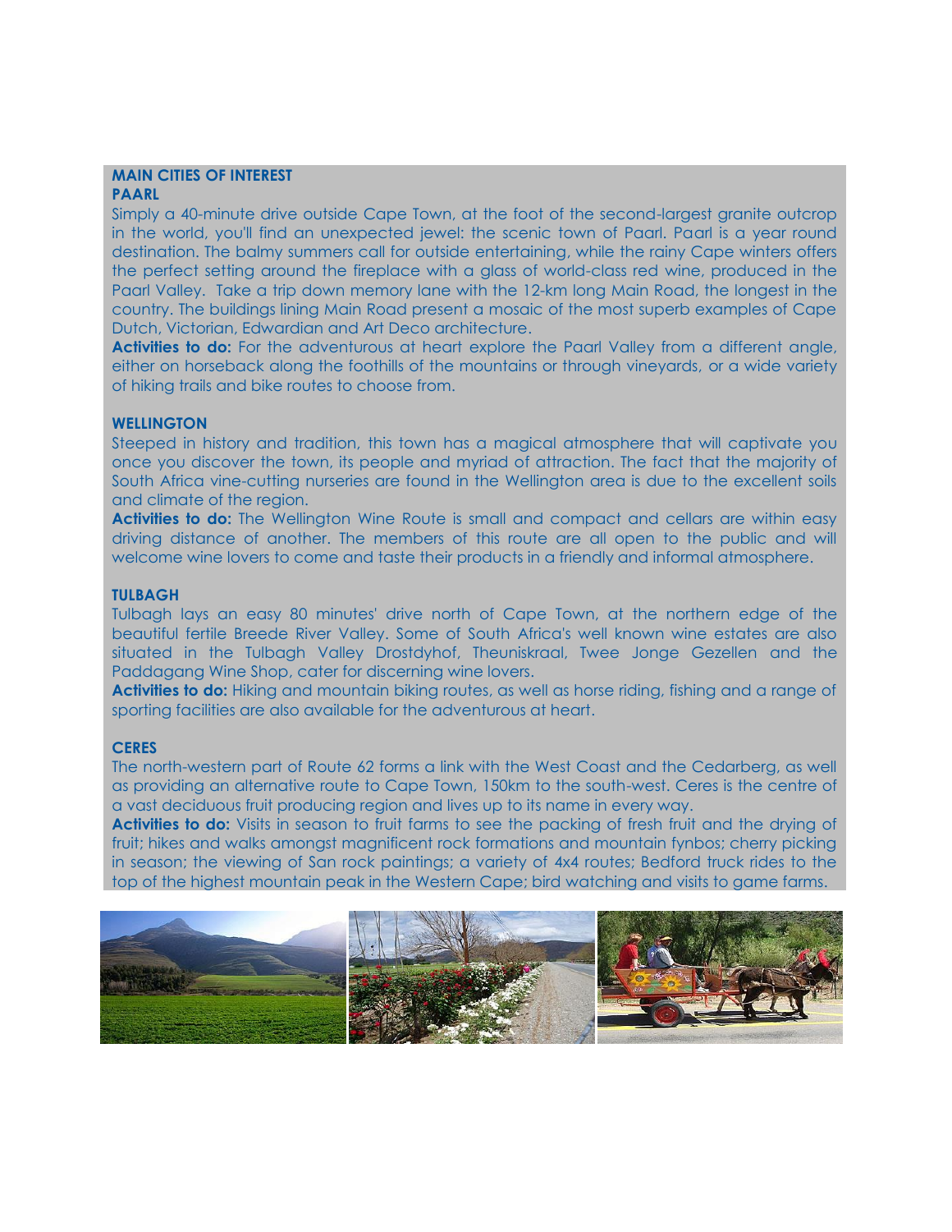#### **MAIN CITIES OF INTEREST PAARL**

Simply a 40-minute drive outside Cape Town, at the foot of the second-largest granite outcrop in the world, you'll find an unexpected jewel: the scenic town of Paarl. Paarl is a year round destination. The balmy summers call for outside entertaining, while the rainy Cape winters offers the perfect setting around the fireplace with a glass of world-class red wine, produced in the Paarl Valley. Take a trip down memory lane with the 12-km long Main Road, the longest in the country. The buildings lining Main Road present a mosaic of the most superb examples of Cape Dutch, Victorian, Edwardian and Art Deco architecture.

**Activities to do:** For the adventurous at heart explore the Paarl Valley from a different angle, either on horseback along the foothills of the mountains or through vineyards, or a wide variety of hiking trails and bike routes to choose from.

# **WELLINGTON**

Steeped in history and tradition, this town has a magical atmosphere that will captivate you once you discover the town, its people and myriad of attraction. The fact that the majority of South Africa vine-cutting nurseries are found in the Wellington area is due to the excellent soils and climate of the region.

**Activities to do:** The Wellington Wine Route is small and compact and cellars are within easy driving distance of another. The members of this route are all open to the public and will welcome wine lovers to come and taste their products in a friendly and informal atmosphere.

# **TULBAGH**

Tulbagh lays an easy 80 minutes' drive north of Cape Town, at the northern edge of the beautiful fertile Breede River Valley. Some of South Africa's well known wine estates are also situated in the Tulbagh Valley Drostdyhof, Theuniskraal, Twee Jonge Gezellen and the Paddagang Wine Shop, cater for discerning wine lovers.

**Activities to do:** Hiking and mountain biking routes, as well as horse riding, fishing and a range of sporting facilities are also available for the adventurous at heart.

## **CERES**

The north-western part of Route 62 forms a link with the West Coast and the Cedarberg, as well as providing an alternative route to Cape Town, 150km to the south-west. Ceres is the centre of a vast deciduous fruit producing region and lives up to its name in every way.

**Activities to do:** Visits in season to fruit farms to see the packing of fresh fruit and the drying of fruit; hikes and walks amongst magnificent rock formations and mountain fynbos; cherry picking in season; the viewing of San rock paintings; a variety of 4x4 routes; Bedford truck rides to the top of the highest mountain peak in the Western Cape; bird watching and visits to game farms.